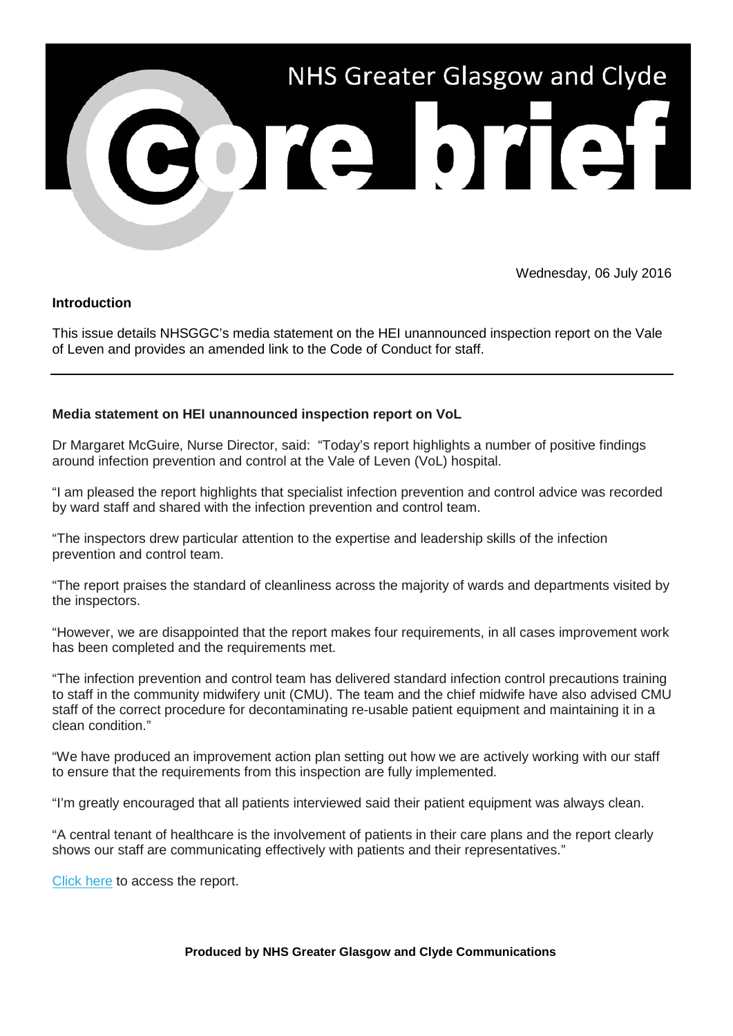

Wednesday, 06 July 2016

## **Introduction**

This issue details NHSGGC's media statement on the HEI unannounced inspection report on the Vale of Leven and provides an amended link to the Code of Conduct for staff.

## **Media statement on HEI unannounced inspection report on VoL**

Dr Margaret McGuire, Nurse Director, said: "Today's report highlights a number of positive findings around infection prevention and control at the Vale of Leven (VoL) hospital.

"I am pleased the report highlights that specialist infection prevention and control advice was recorded by ward staff and shared with the infection prevention and control team.

"The inspectors drew particular attention to the expertise and leadership skills of the infection prevention and control team.

"The report praises the standard of cleanliness across the majority of wards and departments visited by the inspectors.

"However, we are disappointed that the report makes four requirements, in all cases improvement work has been completed and the requirements met.

"The infection prevention and control team has delivered standard infection control precautions training to staff in the community midwifery unit (CMU). The team and the chief midwife have also advised CMU staff of the correct procedure for decontaminating re-usable patient equipment and maintaining it in a clean condition."

"We have produced an improvement action plan setting out how we are actively working with our staff to ensure that the requirements from this inspection are fully implemented.

"I'm greatly encouraged that all patients interviewed said their patient equipment was always clean.

"A central tenant of healthcare is the involvement of patients in their care plans and the report clearly shows our staff are communicating effectively with patients and their representatives."

[Click here](http://nhsggc.us12.list-manage.com/track/click?u=0f385b5aea37eaf0213bd19fb&id=a4fcd750e3&e=5af5e1832c) to access the report.